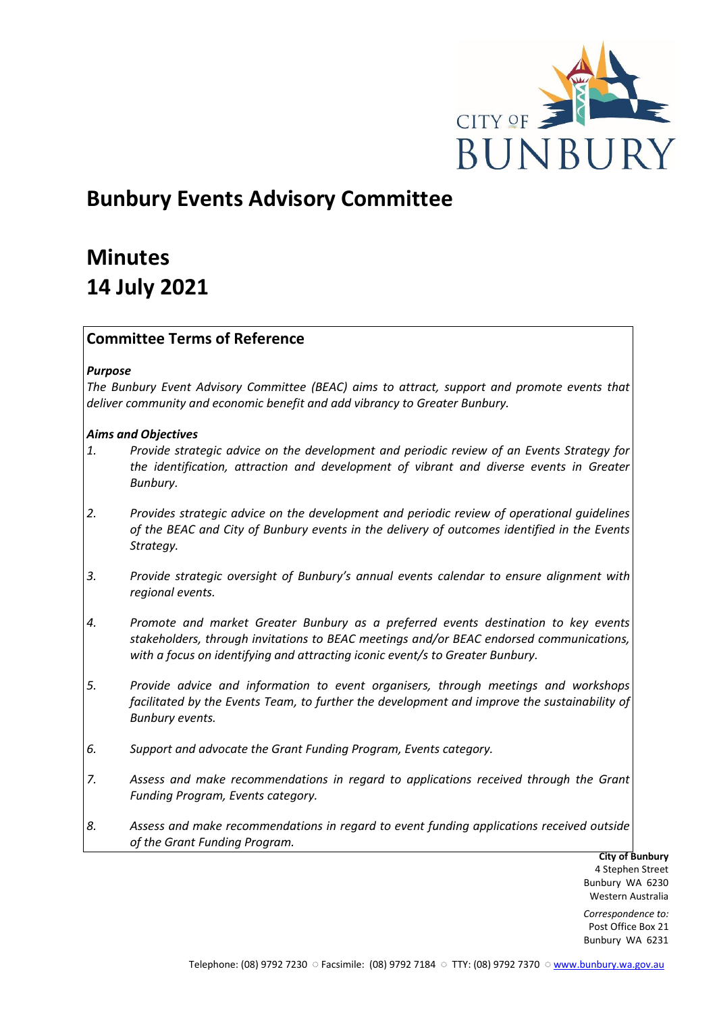

# **Bunbury Events Advisory Committee**

# **Minutes 14 July 2021**

# **Committee Terms of Reference**

# *Purpose*

*The Bunbury Event Advisory Committee (BEAC) aims to attract, support and promote events that deliver community and economic benefit and add vibrancy to Greater Bunbury.*

# *Aims and Objectives*

- *1. Provide strategic advice on the development and periodic review of an Events Strategy for the identification, attraction and development of vibrant and diverse events in Greater Bunbury.*
- *2. Provides strategic advice on the development and periodic review of operational guidelines of the BEAC and City of Bunbury events in the delivery of outcomes identified in the Events Strategy.*
- *3. Provide strategic oversight of Bunbury's annual events calendar to ensure alignment with regional events.*
- *4. Promote and market Greater Bunbury as a preferred events destination to key events stakeholders, through invitations to BEAC meetings and/or BEAC endorsed communications, with a focus on identifying and attracting iconic event/s to Greater Bunbury.*
- *5. Provide advice and information to event organisers, through meetings and workshops*  facilitated by the Events Team, to further the development and improve the sustainability of *Bunbury events.*
- *6. Support and advocate the Grant Funding Program, Events category.*
- *7. Assess and make recommendations in regard to applications received through the Grant Funding Program, Events category.*
- *8. Assess and make recommendations in regard to event funding applications received outside of the Grant Funding Program.*

**City of Bunbury** 4 Stephen Street Bunbury WA 6230 Western Australia

*Correspondence to:* Post Office Box 21 Bunbury WA 6231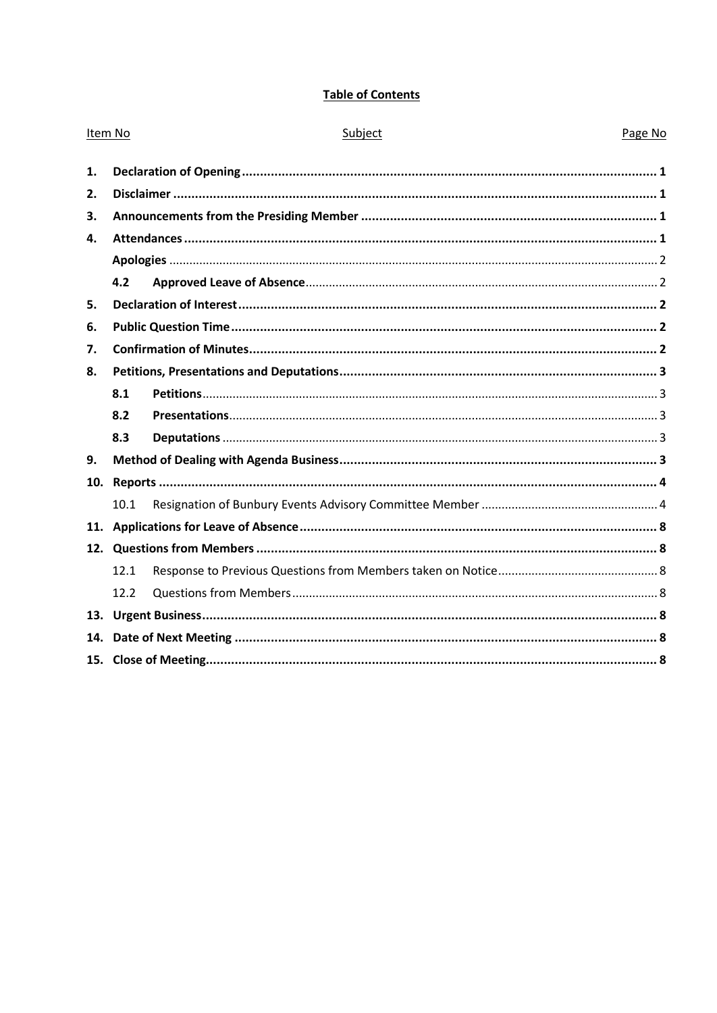# **Table of Contents**

| Item No      |      | Subject | Page No |  |  |
|--------------|------|---------|---------|--|--|
| 1.           |      |         |         |  |  |
| 2.           |      |         |         |  |  |
| 3.           |      |         |         |  |  |
| $\mathbf{4}$ |      |         |         |  |  |
|              |      |         |         |  |  |
|              | 4.2  |         |         |  |  |
| 5.           |      |         |         |  |  |
| 6.           |      |         |         |  |  |
| 7.           |      |         |         |  |  |
| 8.           |      |         |         |  |  |
|              | 8.1  |         |         |  |  |
|              | 8.2  |         |         |  |  |
|              | 8.3  |         |         |  |  |
| 9.           |      |         |         |  |  |
| 10.          |      |         |         |  |  |
|              | 10.1 |         |         |  |  |
| 11.          |      |         |         |  |  |
|              |      |         |         |  |  |
|              | 12.1 |         |         |  |  |
|              | 12.2 |         |         |  |  |
|              |      |         |         |  |  |
| 14.          |      |         |         |  |  |
|              |      |         |         |  |  |
|              |      |         |         |  |  |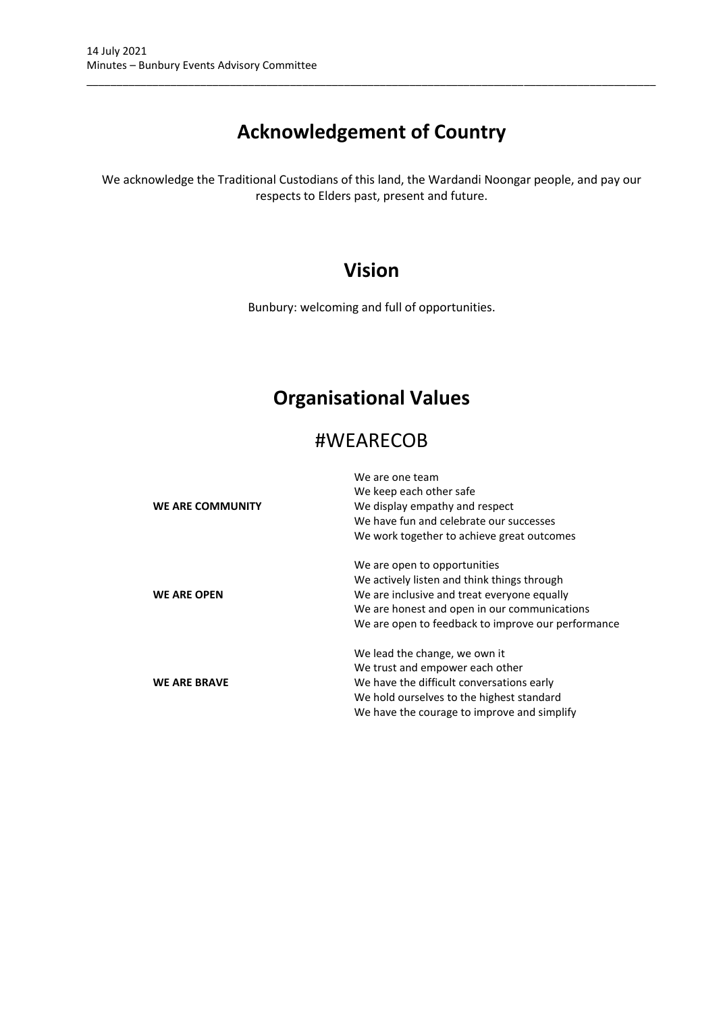# **Acknowledgement of Country**

\_\_\_\_\_\_\_\_\_\_\_\_\_\_\_\_\_\_\_\_\_\_\_\_\_\_\_\_\_\_\_\_\_\_\_\_\_\_\_\_\_\_\_\_\_\_\_\_\_\_\_\_\_\_\_\_\_\_\_\_\_\_\_\_\_\_\_\_\_\_\_\_\_\_\_\_\_\_\_\_\_\_\_\_\_\_\_\_\_\_\_\_\_\_\_

We acknowledge the Traditional Custodians of this land, the Wardandi Noongar people, and pay our respects to Elders past, present and future.

# **Vision**

Bunbury: welcoming and full of opportunities.

# **Organisational Values**

# #WEARECOB

| WE ARE COMMUNITY    | We are one team<br>We keep each other safe<br>We display empathy and respect<br>We have fun and celebrate our successes<br>We work together to achieve great outcomes                                                            |
|---------------------|----------------------------------------------------------------------------------------------------------------------------------------------------------------------------------------------------------------------------------|
| <b>WE ARE OPEN</b>  | We are open to opportunities<br>We actively listen and think things through<br>We are inclusive and treat everyone equally<br>We are honest and open in our communications<br>We are open to feedback to improve our performance |
| <b>WE ARE BRAVE</b> | We lead the change, we own it<br>We trust and empower each other<br>We have the difficult conversations early<br>We hold ourselves to the highest standard<br>We have the courage to improve and simplify                        |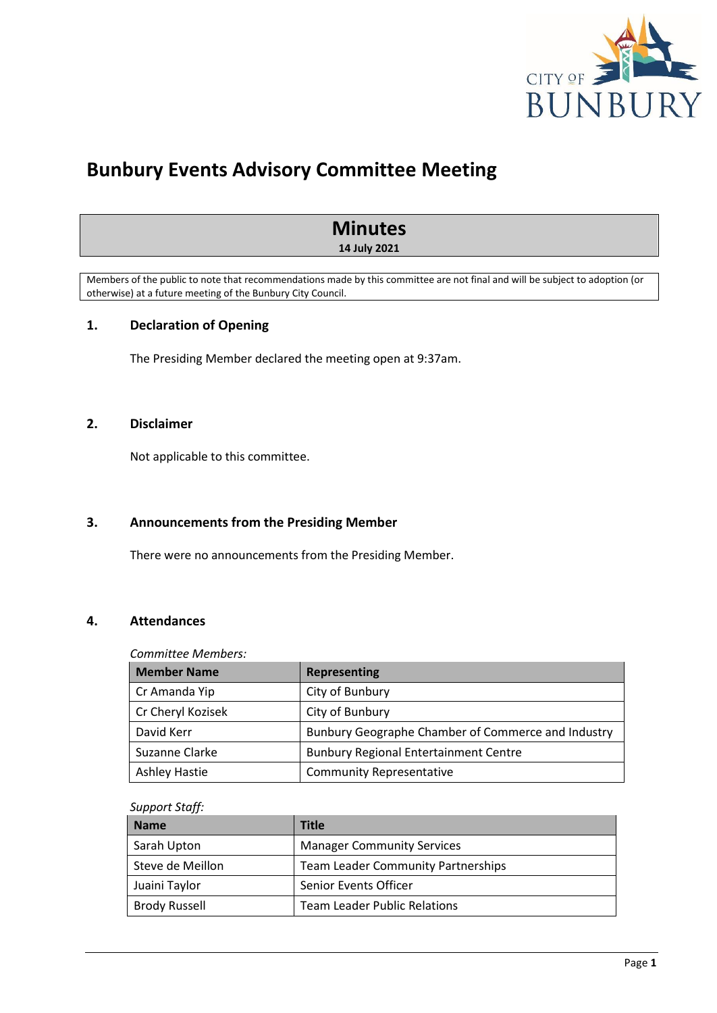

# **Bunbury Events Advisory Committee Meeting**

# **Minutes**

**14 July 2021**

Members of the public to note that recommendations made by this committee are not final and will be subject to adoption (or otherwise) at a future meeting of the Bunbury City Council.

# <span id="page-3-0"></span>**1. Declaration of Opening**

The Presiding Member declared the meeting open at 9:37am.

# <span id="page-3-1"></span>**2. Disclaimer**

Not applicable to this committee.

### <span id="page-3-2"></span>**3. Announcements from the Presiding Member**

There were no announcements from the Presiding Member.

# <span id="page-3-3"></span>**4. Attendances**

# *Committee Members:*

| <b>Member Name</b>   | Representing                                       |  |
|----------------------|----------------------------------------------------|--|
| Cr Amanda Yip        | City of Bunbury                                    |  |
| Cr Cheryl Kozisek    | City of Bunbury                                    |  |
| David Kerr           | Bunbury Geographe Chamber of Commerce and Industry |  |
| Suzanne Clarke       | <b>Bunbury Regional Entertainment Centre</b>       |  |
| <b>Ashley Hastie</b> | <b>Community Representative</b>                    |  |

#### *Support Staff:*

| <b>Name</b>          | <b>Title</b>                              |
|----------------------|-------------------------------------------|
| Sarah Upton          | <b>Manager Community Services</b>         |
| Steve de Meillon     | <b>Team Leader Community Partnerships</b> |
| Juaini Taylor        | Senior Events Officer                     |
| <b>Brody Russell</b> | <b>Team Leader Public Relations</b>       |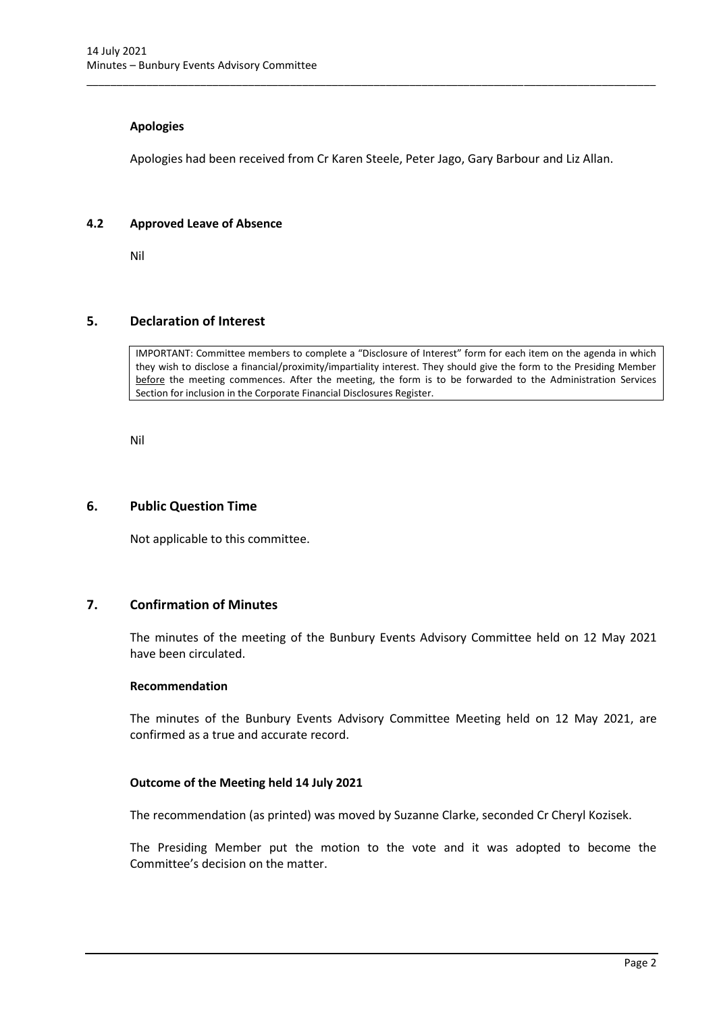#### **Apologies**

Apologies had been received from Cr Karen Steele, Peter Jago, Gary Barbour and Liz Allan.

<span id="page-4-0"></span>\_\_\_\_\_\_\_\_\_\_\_\_\_\_\_\_\_\_\_\_\_\_\_\_\_\_\_\_\_\_\_\_\_\_\_\_\_\_\_\_\_\_\_\_\_\_\_\_\_\_\_\_\_\_\_\_\_\_\_\_\_\_\_\_\_\_\_\_\_\_\_\_\_\_\_\_\_\_\_\_\_\_\_\_\_\_\_\_\_\_\_\_\_\_\_

#### <span id="page-4-1"></span>**4.2 Approved Leave of Absence**

Nil

#### <span id="page-4-2"></span>**5. Declaration of Interest**

IMPORTANT: Committee members to complete a "Disclosure of Interest" form for each item on the agenda in which they wish to disclose a financial/proximity/impartiality interest. They should give the form to the Presiding Member before the meeting commences. After the meeting, the form is to be forwarded to the Administration Services Section for inclusion in the Corporate Financial Disclosures Register.

Nil

#### <span id="page-4-3"></span>**6. Public Question Time**

Not applicable to this committee.

# <span id="page-4-4"></span>**7. Confirmation of Minutes**

The minutes of the meeting of the Bunbury Events Advisory Committee held on 12 May 2021 have been circulated.

#### **Recommendation**

The minutes of the Bunbury Events Advisory Committee Meeting held on 12 May 2021, are confirmed as a true and accurate record.

#### **Outcome of the Meeting held 14 July 2021**

The recommendation (as printed) was moved by Suzanne Clarke, seconded Cr Cheryl Kozisek.

The Presiding Member put the motion to the vote and it was adopted to become the Committee's decision on the matter.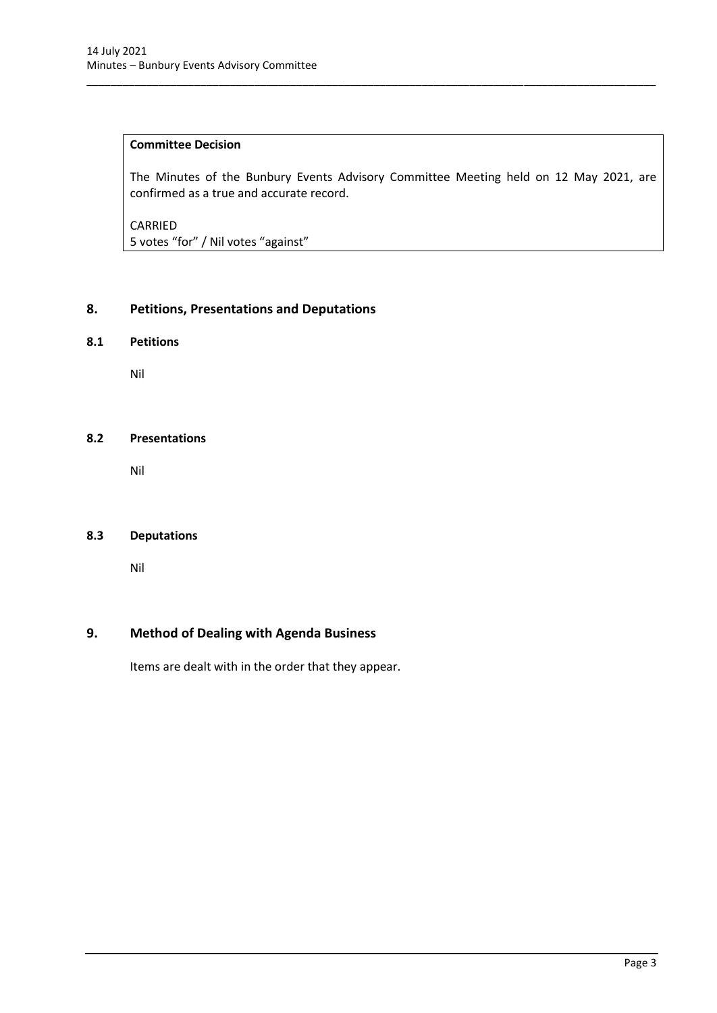# **Committee Decision**

The Minutes of the Bunbury Events Advisory Committee Meeting held on 12 May 2021, are confirmed as a true and accurate record.

\_\_\_\_\_\_\_\_\_\_\_\_\_\_\_\_\_\_\_\_\_\_\_\_\_\_\_\_\_\_\_\_\_\_\_\_\_\_\_\_\_\_\_\_\_\_\_\_\_\_\_\_\_\_\_\_\_\_\_\_\_\_\_\_\_\_\_\_\_\_\_\_\_\_\_\_\_\_\_\_\_\_\_\_\_\_\_\_\_\_\_\_\_\_\_

CARRIED 5 votes "for" / Nil votes "against"

# <span id="page-5-0"></span>**8. Petitions, Presentations and Deputations**

# <span id="page-5-1"></span>**8.1 Petitions**

Nil

# <span id="page-5-2"></span>**8.2 Presentations**

Nil

# <span id="page-5-3"></span>**8.3 Deputations**

Nil

# <span id="page-5-4"></span>**9. Method of Dealing with Agenda Business**

Items are dealt with in the order that they appear.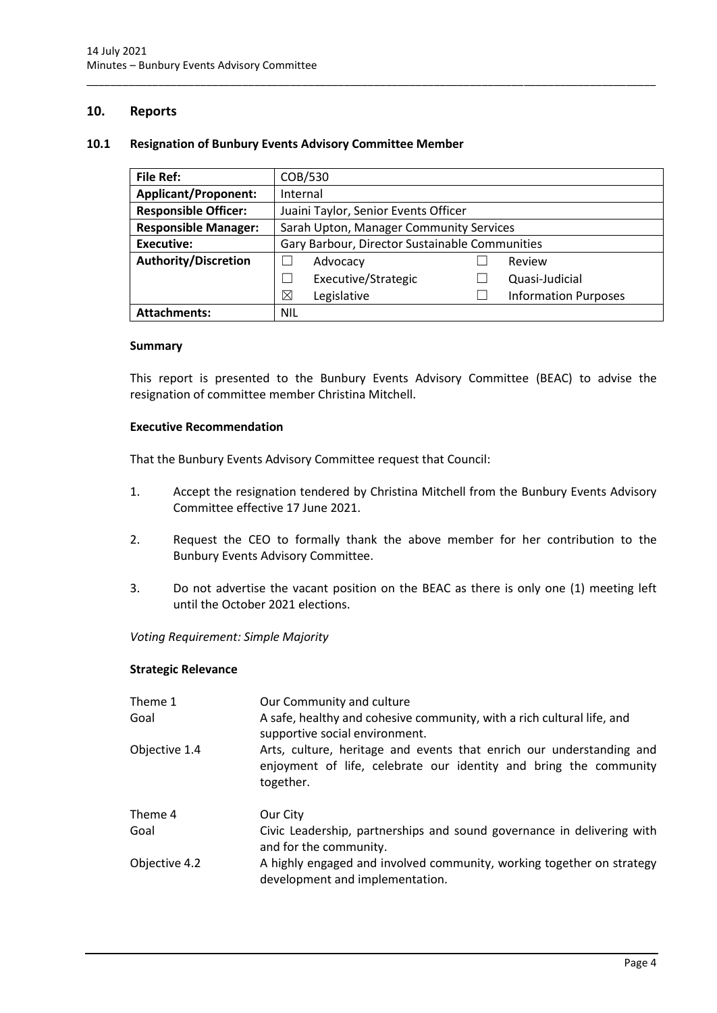# <span id="page-6-0"></span>**10. Reports**

#### <span id="page-6-1"></span>**10.1 Resignation of Bunbury Events Advisory Committee Member**

| <b>File Ref:</b>            | COB/530                                        |  |                             |
|-----------------------------|------------------------------------------------|--|-----------------------------|
| <b>Applicant/Proponent:</b> | Internal                                       |  |                             |
| <b>Responsible Officer:</b> | Juaini Taylor, Senior Events Officer           |  |                             |
| <b>Responsible Manager:</b> | Sarah Upton, Manager Community Services        |  |                             |
| <b>Executive:</b>           | Gary Barbour, Director Sustainable Communities |  |                             |
| <b>Authority/Discretion</b> | Advocacy                                       |  | Review                      |
|                             | Executive/Strategic                            |  | Quasi-Judicial              |
|                             | ⊠<br>Legislative                               |  | <b>Information Purposes</b> |
| <b>Attachments:</b>         | <b>NIL</b>                                     |  |                             |

\_\_\_\_\_\_\_\_\_\_\_\_\_\_\_\_\_\_\_\_\_\_\_\_\_\_\_\_\_\_\_\_\_\_\_\_\_\_\_\_\_\_\_\_\_\_\_\_\_\_\_\_\_\_\_\_\_\_\_\_\_\_\_\_\_\_\_\_\_\_\_\_\_\_\_\_\_\_\_\_\_\_\_\_\_\_\_\_\_\_\_\_\_\_\_

#### **Summary**

This report is presented to the Bunbury Events Advisory Committee (BEAC) to advise the resignation of committee member Christina Mitchell.

#### **Executive Recommendation**

That the Bunbury Events Advisory Committee request that Council:

- 1. Accept the resignation tendered by Christina Mitchell from the Bunbury Events Advisory Committee effective 17 June 2021.
- 2. Request the CEO to formally thank the above member for her contribution to the Bunbury Events Advisory Committee.
- 3. Do not advertise the vacant position on the BEAC as there is only one (1) meeting left until the October 2021 elections.

*Voting Requirement: Simple Majority* 

#### **Strategic Relevance**

| Theme 1<br>Goal | Our Community and culture<br>A safe, healthy and cohesive community, with a rich cultural life, and<br>supportive social environment.                  |
|-----------------|--------------------------------------------------------------------------------------------------------------------------------------------------------|
| Objective 1.4   | Arts, culture, heritage and events that enrich our understanding and<br>enjoyment of life, celebrate our identity and bring the community<br>together. |
| Theme 4         | Our City                                                                                                                                               |
| Goal            | Civic Leadership, partnerships and sound governance in delivering with<br>and for the community.                                                       |
| Objective 4.2   | A highly engaged and involved community, working together on strategy<br>development and implementation.                                               |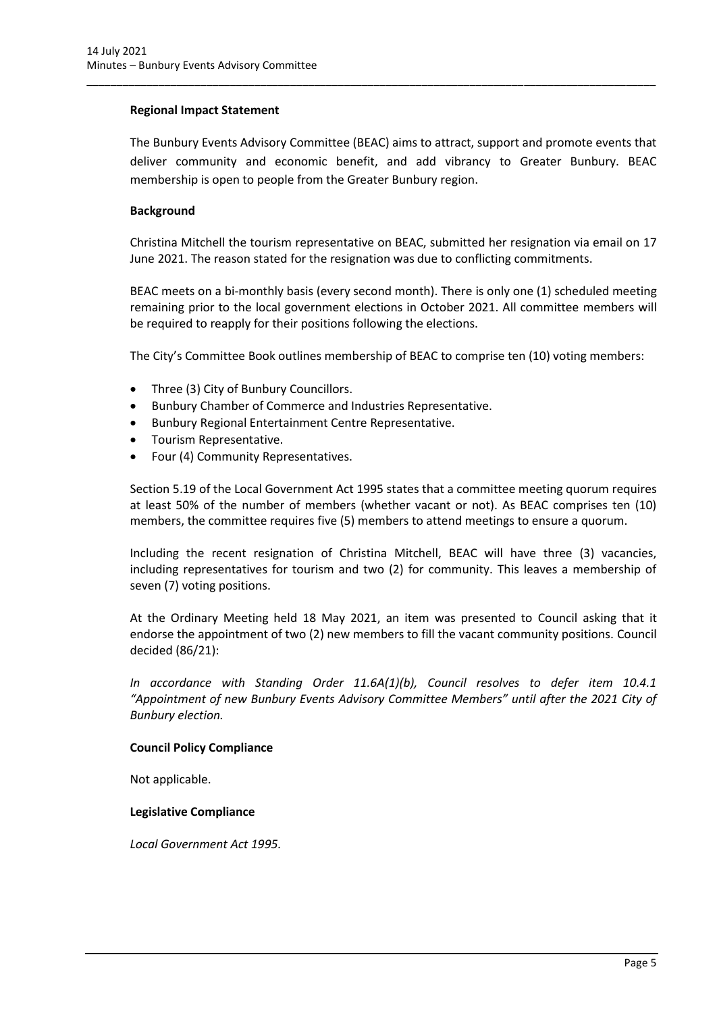### **Regional Impact Statement**

The Bunbury Events Advisory Committee (BEAC) aims to attract, support and promote events that deliver community and economic benefit, and add vibrancy to Greater Bunbury. BEAC membership is open to people from the Greater Bunbury region.

\_\_\_\_\_\_\_\_\_\_\_\_\_\_\_\_\_\_\_\_\_\_\_\_\_\_\_\_\_\_\_\_\_\_\_\_\_\_\_\_\_\_\_\_\_\_\_\_\_\_\_\_\_\_\_\_\_\_\_\_\_\_\_\_\_\_\_\_\_\_\_\_\_\_\_\_\_\_\_\_\_\_\_\_\_\_\_\_\_\_\_\_\_\_\_

### **Background**

Christina Mitchell the tourism representative on BEAC, submitted her resignation via email on 17 June 2021. The reason stated for the resignation was due to conflicting commitments.

BEAC meets on a bi-monthly basis (every second month). There is only one (1) scheduled meeting remaining prior to the local government elections in October 2021. All committee members will be required to reapply for their positions following the elections.

The City's Committee Book outlines membership of BEAC to comprise ten (10) voting members:

- Three (3) City of Bunbury Councillors.
- Bunbury Chamber of Commerce and Industries Representative.
- Bunbury Regional Entertainment Centre Representative.
- Tourism Representative.
- Four (4) Community Representatives.

Section 5.19 of the Local Government Act 1995 states that a committee meeting quorum requires at least 50% of the number of members (whether vacant or not). As BEAC comprises ten (10) members, the committee requires five (5) members to attend meetings to ensure a quorum.

Including the recent resignation of Christina Mitchell, BEAC will have three (3) vacancies, including representatives for tourism and two (2) for community. This leaves a membership of seven (7) voting positions.

At the Ordinary Meeting held 18 May 2021, an item was presented to Council asking that it endorse the appointment of two (2) new members to fill the vacant community positions. Council decided (86/21):

*In accordance with Standing Order 11.6A(1)(b), Council resolves to defer item 10.4.1 "Appointment of new Bunbury Events Advisory Committee Members" until after the 2021 City of Bunbury election.* 

#### **Council Policy Compliance**

Not applicable.

#### **Legislative Compliance**

*Local Government Act 1995.*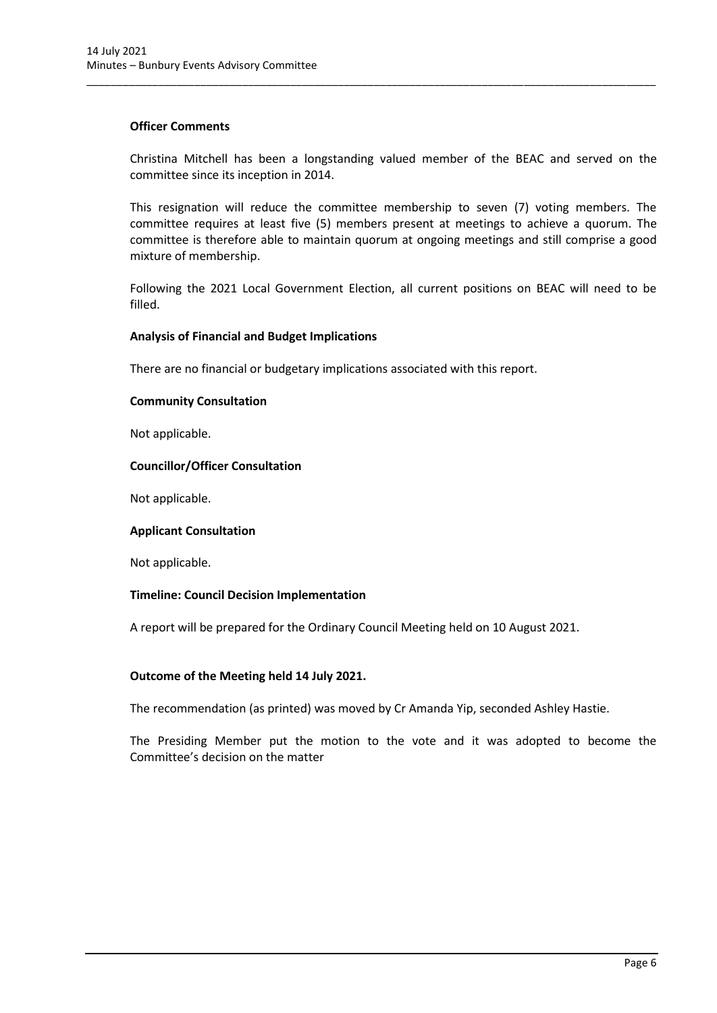#### **Officer Comments**

Christina Mitchell has been a longstanding valued member of the BEAC and served on the committee since its inception in 2014.

\_\_\_\_\_\_\_\_\_\_\_\_\_\_\_\_\_\_\_\_\_\_\_\_\_\_\_\_\_\_\_\_\_\_\_\_\_\_\_\_\_\_\_\_\_\_\_\_\_\_\_\_\_\_\_\_\_\_\_\_\_\_\_\_\_\_\_\_\_\_\_\_\_\_\_\_\_\_\_\_\_\_\_\_\_\_\_\_\_\_\_\_\_\_\_

This resignation will reduce the committee membership to seven (7) voting members. The committee requires at least five (5) members present at meetings to achieve a quorum. The committee is therefore able to maintain quorum at ongoing meetings and still comprise a good mixture of membership.

Following the 2021 Local Government Election, all current positions on BEAC will need to be filled.

#### **Analysis of Financial and Budget Implications**

There are no financial or budgetary implications associated with this report.

# **Community Consultation**

Not applicable.

#### **Councillor/Officer Consultation**

Not applicable.

#### **Applicant Consultation**

Not applicable.

#### **Timeline: Council Decision Implementation**

A report will be prepared for the Ordinary Council Meeting held on 10 August 2021.

#### **Outcome of the Meeting held 14 July 2021.**

The recommendation (as printed) was moved by Cr Amanda Yip, seconded Ashley Hastie.

The Presiding Member put the motion to the vote and it was adopted to become the Committee's decision on the matter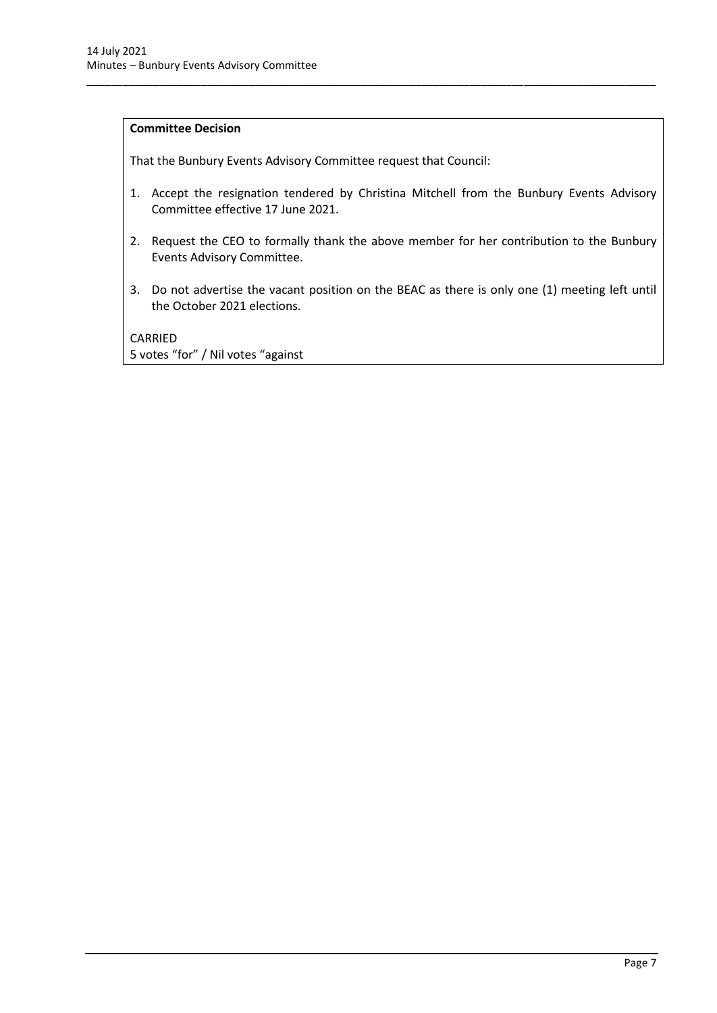# **Committee Decision**

That the Bunbury Events Advisory Committee request that Council:

1. Accept the resignation tendered by Christina Mitchell from the Bunbury Events Advisory Committee effective 17 June 2021.

\_\_\_\_\_\_\_\_\_\_\_\_\_\_\_\_\_\_\_\_\_\_\_\_\_\_\_\_\_\_\_\_\_\_\_\_\_\_\_\_\_\_\_\_\_\_\_\_\_\_\_\_\_\_\_\_\_\_\_\_\_\_\_\_\_\_\_\_\_\_\_\_\_\_\_\_\_\_\_\_\_\_\_\_\_\_\_\_\_\_\_\_\_\_\_

- 2. Request the CEO to formally thank the above member for her contribution to the Bunbury Events Advisory Committee.
- 3. Do not advertise the vacant position on the BEAC as there is only one (1) meeting left until the October 2021 elections.

CARRIED 5 votes "for" / Nil votes "against